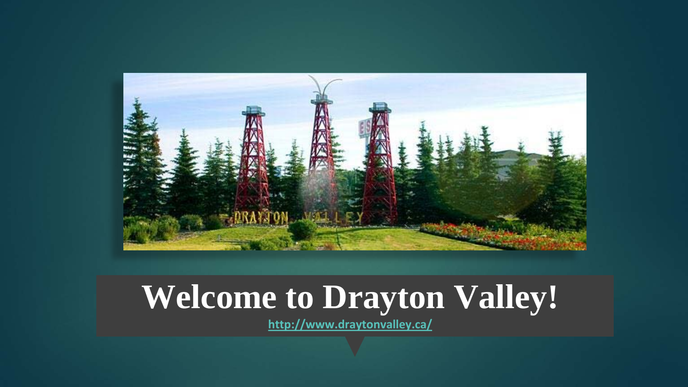

## **Welcome to Drayton Valley!**

**<http://www.draytonvalley.ca/>**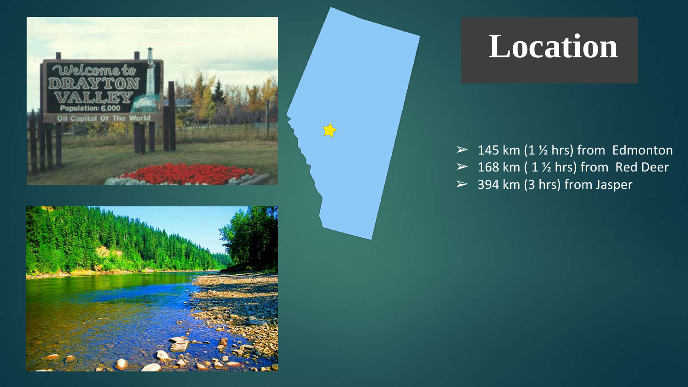

## **Location**

 $> 145$  km (1  $\frac{1}{2}$  hrs) from Edmonton  $> 168$  km (1 % hrs) from Red Deer  $> 394$  km (3 hrs) from Jasper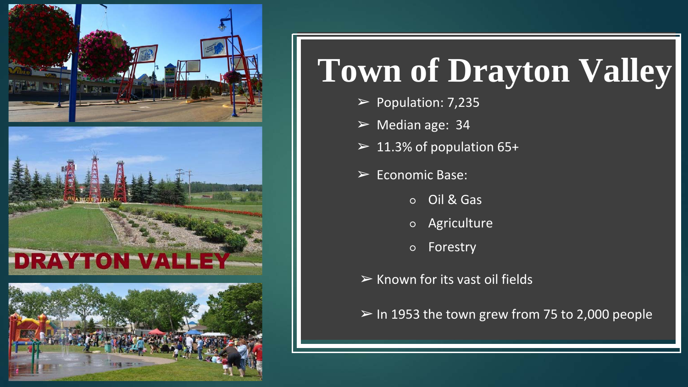

# **Town of Drayton Valley**

- $\blacktriangleright$  Population: 7,235
- $\triangleright$  Median age: 34
- $\geq 11.3\%$  of population 65+
- $\triangleright$  Economic Base:
	- Oil & Gas
	- Agriculture
	- Forestry
- $\triangleright$  Known for its vast oil fields
- $\triangleright$  In 1953 the town grew from 75 to 2,000 people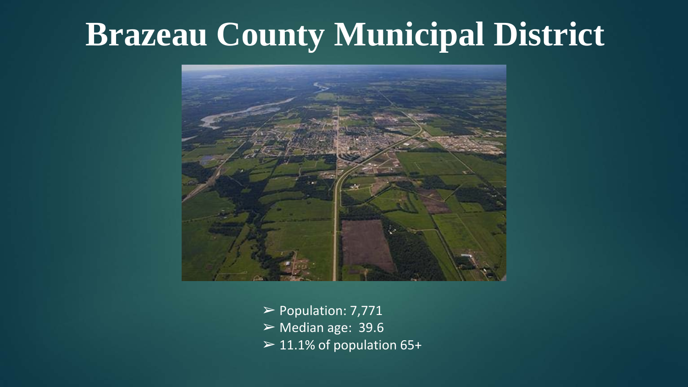### **Brazeau County Municipal District**



 $\triangleright$  Population: 7,771  $\triangleright$  Median age: 39.6  $\geq 11.1\%$  of population 65+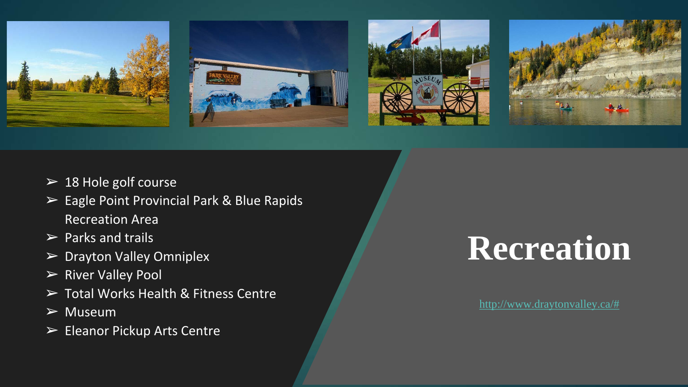

- $\geq 18$  Hole golf course
- ➢ Eagle Point Provincial Park & Blue Rapids Recreation Area
- $\triangleright$  Parks and trails
- ➢ Drayton Valley Omniplex
- ➢ River Valley Pool
- ➢ Total Works Health & Fitness Centre
- $\triangleright$  Museum
- ➢ Eleanor Pickup Arts Centre

# **Recreation**

[http://www.draytonvalley.ca/#](http://www.draytonvalley.ca/)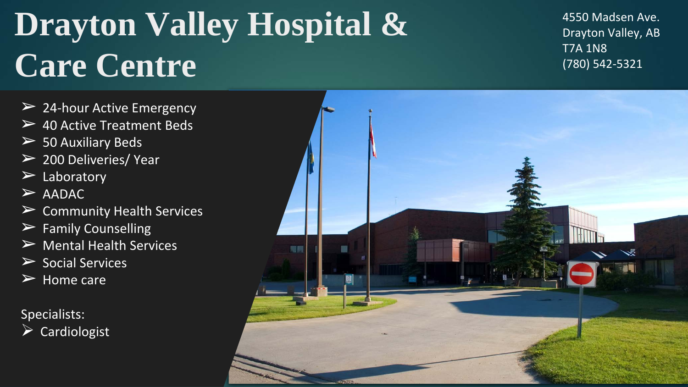# **Drayton Valley Hospital & Care Centre**

 $\geq$  24-hour Active Emergency

- $\geq$  40 Active Treatment Beds
- $\geq$  50 Auxiliary Beds
- $\geq$  200 Deliveries/ Year
- $\triangleright$  Laboratory
- $>$  AADAC
- $\triangleright$  Community Health Services
- $\triangleright$  Family Counselling
- $\triangleright$  Mental Health Services
- $\triangleright$  Social Services
- $\triangleright$  Home care

Specialists:  $\triangleright$  Cardiologist 4550 Madsen Ave. Drayton Valley, AB T7A 1N8 (780) 542-5321

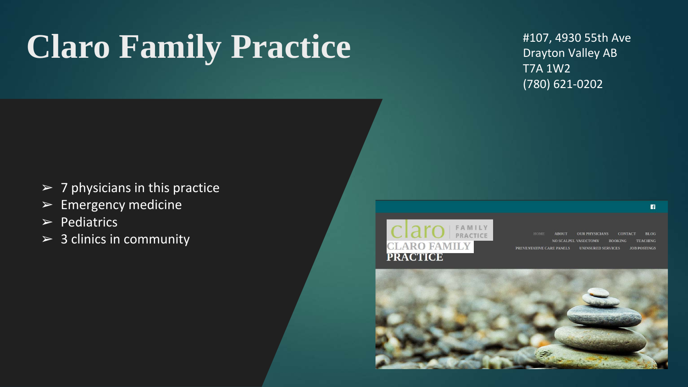# **Claro Family Practice**

#107, 4930 55th Ave Drayton Valley AB T7A 1W2 (780) 621-0202

- $\triangleright$  7 physicians in this practice
- $\blacktriangleright$  Emergency medicine
- $\triangleright$  Pediatrics
- $> 3$  clinics in community



**OUR PHYSICIANS BLOG AROUT CONTACT** NO SCALPEL VASECTOMY **BOOKING** PREVENTATIVE CARE PANELS UNINSURED SERVICES **JOB POSTINGS**